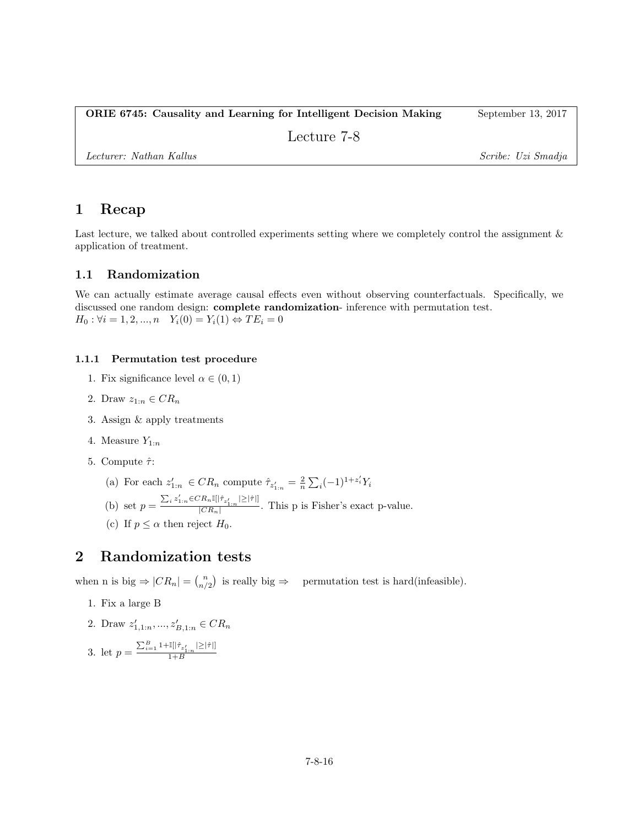### ORIE 6745: Causality and Learning for Intelligent Decision Making September 13, 2017

Lecture 7-8

Lecturer: Nathan Kallus Scribe: Uzi Smadja

# 1 Recap

Last lecture, we talked about controlled experiments setting where we completely control the assignment & application of treatment.

## 1.1 Randomization

We can actually estimate average causal effects even without observing counterfactuals. Specifically, we discussed one random design: complete randomization- inference with permutation test.  $H_0: \forall i = 1, 2, ..., n \quad Y_i(0) = Y_i(1) \Leftrightarrow TE_i = 0$ 

### 1.1.1 Permutation test procedure

- 1. Fix significance level  $\alpha \in (0,1)$
- 2. Draw  $z_{1:n} \in CR_n$
- 3. Assign & apply treatments
- 4. Measure  $Y_{1:n}$
- 5. Compute  $\hat{\tau}$ :
	- (a) For each  $z'_{1:n} \in CR_n$  compute  $\hat{\tau}_{z'_{1:n}} = \frac{2}{n} \sum_i (-1)^{1+z'_i} Y_i$
	- (b) set  $p = \frac{\sum_i z'_{1:n} \in CR_n \mathbb{I}[|\hat{\tau}_{z'_{1:n}}| \geq |\hat{\tau}|]}{|CR|}$  $\frac{\left|\sum_{i=1}^{n} x_i\right|}{\left|CR_n\right|}$ . This p is Fisher's exact p-value.
	- (c) If  $p \leq \alpha$  then reject  $H_0$ .

# 2 Randomization tests

when n is big  $\Rightarrow |CR_n| = \binom{n}{n/2}$  is really big  $\Rightarrow$  permutation test is hard(infeasible).

- 1. Fix a large B
- 2. Draw  $z'_{1,1:n},..., z'_{B,1:n} \in CR_n$

3. let 
$$
p = \frac{\sum_{i=1}^{B} 1 + \mathbb{I}[\hat{\tau}_{z'_{1:n}} | \geq |\hat{\tau}|]}{1 + B}
$$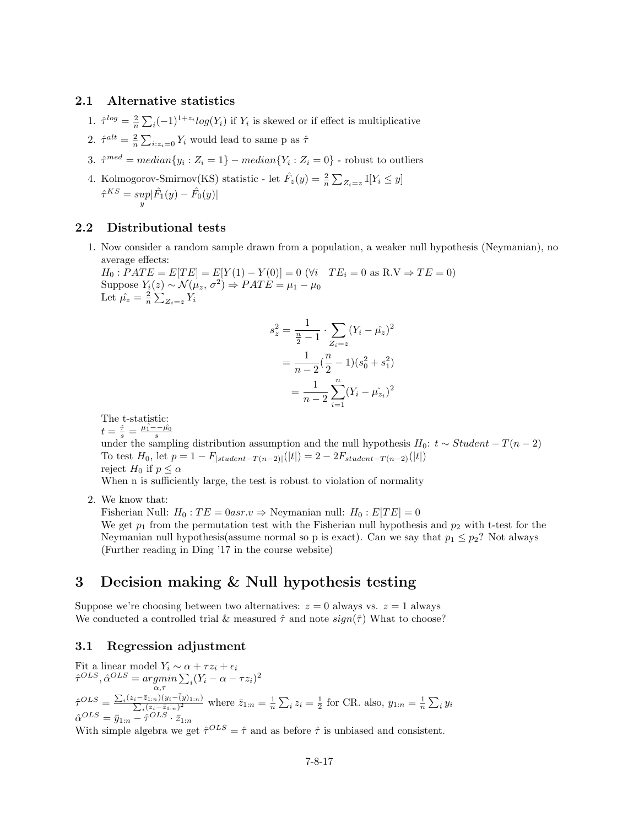#### 2.1 Alternative statistics

- 1.  $\hat{\tau}^{log} = \frac{2}{n} \sum_i (-1)^{1+z_i} log(Y_i)$  if  $Y_i$  is skewed or if effect is multiplicative
- 2.  $\hat{\tau}^{alt} = \frac{2}{n} \sum_{i:z_i=0} Y_i$  would lead to same p as  $\hat{\tau}$
- 3.  $\hat{\tau}^{med} = median\{y_i : Z_i = 1\} median\{Y_i : Z_i = 0\}$  robust to outliers
- 4. Kolmogorov-Smirnov(KS) statistic let  $\hat{F}_z(y) = \frac{2}{n} \sum_{Z_i=z} \mathbb{I}[Y_i \leq y]$  $\hat{\tau}^{KS} = sup_{y} |\hat{F}_1(y) - \hat{F}_0(y)|$

#### 2.2 Distributional tests

1. Now consider a random sample drawn from a population, a weaker null hypothesis (Neymanian), no average effects:

 $H_0$ :  $PATE = E[TE] = E[Y(1) - Y(0)] = 0$  ( $\forall i$   $TE_i = 0$  as  $R.V \Rightarrow TE = 0)$ Suppose  $Y_i(z) \sim \mathcal{N}(\mu_z, \sigma^2) \Rightarrow PATE = \mu_1 - \mu_0$ Let  $\hat{\mu_z} = \frac{2}{n} \sum_{Z_i=z} Y_i$ 

$$
s_z^2 = \frac{1}{\frac{n}{2} - 1} \cdot \sum_{Z_i = z} (Y_i - \hat{\mu_z})^2
$$

$$
= \frac{1}{n - 2} (\frac{n}{2} - 1)(s_0^2 + s_1^2)
$$

$$
= \frac{1}{n - 2} \sum_{i=1}^n (Y_i - \hat{\mu_z})^2
$$

The t-statistic:  $t = \frac{\hat{\tau}}{s} = \frac{\hat{\mu_1} - \hat{\mu_0}}{s}$ 

under the sampling distribution assumption and the null hypothesis  $H_0$ :  $t \sim Student - T(n-2)$ To test  $H_0$ , let  $p = 1 - F_{|student-T(n-2)|}(|t|) = 2 - 2F_{student-T(n-2)}(|t|)$ reject  $H_0$  if  $p \leq \alpha$ 

When n is sufficiently large, the test is robust to violation of normality

2. We know that:

Fisherian Null:  $H_0: TE = 0$ asr. $v \Rightarrow$  Neymanian null:  $H_0: E[TE] = 0$ We get  $p_1$  from the permutation test with the Fisherian null hypothesis and  $p_2$  with t-test for the Neymanian null hypothesis (assume normal so p is exact). Can we say that  $p_1 \leq p_2$ ? Not always (Further reading in Ding '17 in the course website)

# 3 Decision making & Null hypothesis testing

Suppose we're choosing between two alternatives:  $z = 0$  always vs.  $z = 1$  always We conducted a controlled trial & measured  $\hat{\tau}$  and note  $sign(\hat{\tau})$  What to choose?

### 3.1 Regression adjustment

Fit a linear model  $Y_i \sim \alpha + \tau z_i + \epsilon_i$  $\hat{\tau}^{OLS}, \hat{\alpha}^{OLS} = \operatorname{argmin} \sum_{i} (Y_i - \alpha - \tau z_i)^2$ α,τ  $\hat{\tau}^{OLS} = \frac{\sum_{i} (z_i - \bar{z}_{1:n})(y_i - \bar{y}_{1:n})}{\sum_{i} (z_i - \bar{z}_{1:n})^2}$  $\frac{\bar{z}_{1:n}(y_i-(y_{1:n}))}{(z_i-\bar{z}_{1:n})^2}$  where  $\bar{z}_{1:n}=\frac{1}{n}\sum_i z_i=\frac{1}{2}$  for CR. also,  $y_{1:n}=\frac{1}{n}\sum_i y_i$  $\hat{\alpha}^{OLS} = \bar{y}_{1:n} - \hat{\tau}^{OLS} \cdot \bar{z}_{1:n}$ 

With simple algebra we get  $\hat{\tau}^{OLS} = \hat{\tau}$  and as before  $\hat{\tau}$  is unbiased and consistent.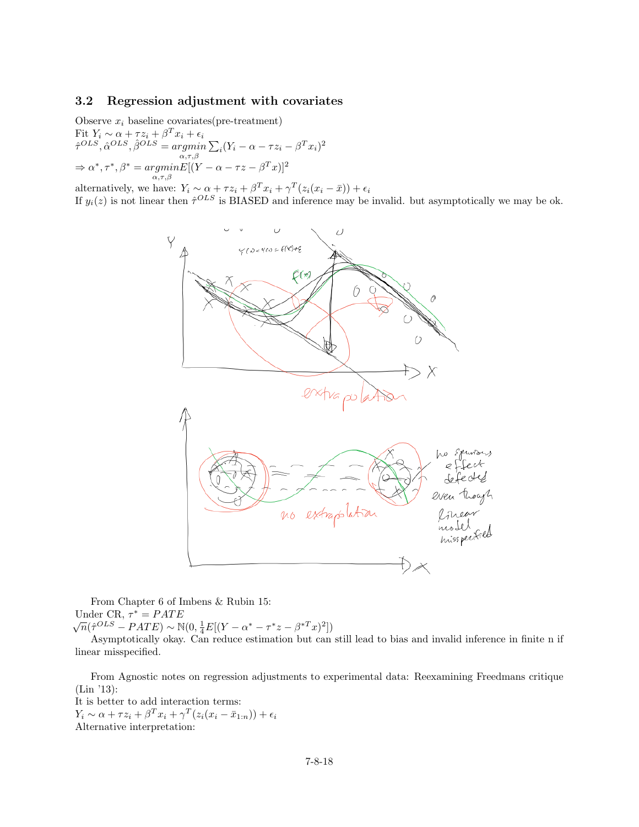## 3.2 Regression adjustment with covariates

Observe  $x_i$  baseline covariates(pre-treatment) Fit  $Y_i \sim \alpha + \tau z_i + \beta^T x_i + \epsilon_i$  $\hat{\tau}^{OLS}, \hat{\alpha}^{OLS}, \hat{\beta}^{OLS} = \underset{\alpha, \tau, \beta}{argmin}$  $\sum_i (Y_i - \alpha - \tau z_i - \beta^T x_i)^2$  $\Rightarrow \alpha^*, \tau^*, \beta^* = \underset{\alpha, \tau, \beta}{argmin} E[(Y - \alpha - \tau z - \beta^T x)]^2$ 

alternatively, we have:  $Y_i \sim \alpha + \tau z_i + \beta^T x_i + \gamma^T (z_i (x_i - \bar{x})) + \epsilon_i$ 

If  $y_i(z)$  is not linear then  $\hat{\tau}^{OLS}$  is BIASED and inference may be invalid. but asymptotically we may be ok.



From Chapter 6 of Imbens & Rubin 15: Under CR,  $\tau^* = PATE$ 

Under UK,  $η = PATE$ <br>  $√n(î(σ0LS - PATE) ~ N(0, ∄E[(Y – α* – τ*z – β*Tx)<sup>2</sup>])$ 

Asymptotically okay. Can reduce estimation but can still lead to bias and invalid inference in finite n if linear misspecified.

From Agnostic notes on regression adjustments to experimental data: Reexamining Freedmans critique (Lin '13):

It is better to add interaction terms:  $Y_i \sim \alpha + \tau z_i + \beta^T x_i + \gamma^T (z_i(x_i - \bar{x}_{1:n})) + \epsilon_i$ Alternative interpretation: